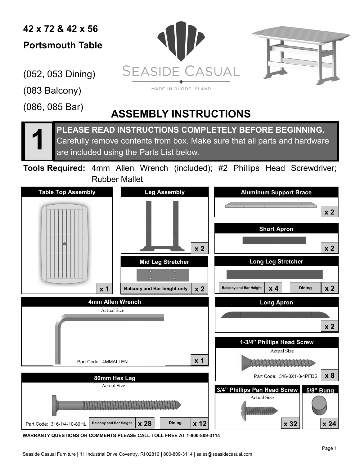**42 x 72 & 42 x 56 Portsmouth Table**

(052, 053 Dining)

(083 Balcony)

(086, 085 Bar)





MADE IN RHODE ISLAND

## **ASSEMBLY INSTRUCTIONS**

**1 PLEASE READ INSTRUCTIONS COMPLETELY BEFORE BEGINNING.**  Carefully remove contents from box. Make sure that all parts and hardware are included using the Parts List below.

**Tools Required:** 4mm Allen Wrench (included); #2 Phillips Head Screwdriver; Rubber Mallet



**WARRANTY QUESTIONS OR COMMENTS PLEASE CALL TOLL FREE AT 1-800-809-3114**